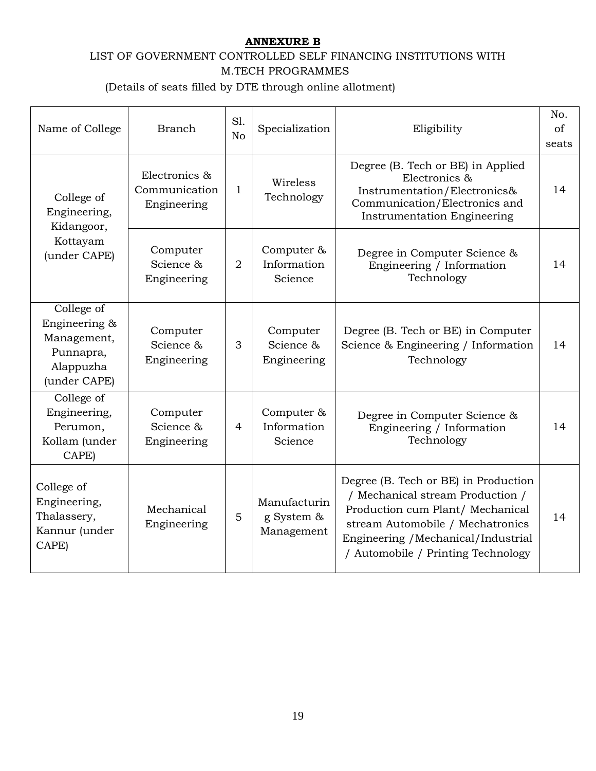## **ANNEXURE B**

## LIST OF GOVERNMENT CONTROLLED SELF FINANCING INSTITUTIONS WITH M.TECH PROGRAMMES

(Details of seats filled by DTE through online allotment)

| Name of College                                                                      | <b>Branch</b>                                 | S1.<br>N <sub>o</sub> | Specialization                           | Eligibility                                                                                                                                                                                                                   | No.<br>of<br>seats |
|--------------------------------------------------------------------------------------|-----------------------------------------------|-----------------------|------------------------------------------|-------------------------------------------------------------------------------------------------------------------------------------------------------------------------------------------------------------------------------|--------------------|
| College of<br>Engineering,<br>Kidangoor,<br>Kottayam<br>(under CAPE)                 | Electronics &<br>Communication<br>Engineering | $\mathbf{1}$          | Wireless<br>Technology                   | Degree (B. Tech or BE) in Applied<br>Electronics &<br>Instrumentation/Electronics&<br>Communication/Electronics and<br><b>Instrumentation Engineering</b>                                                                     | 14                 |
|                                                                                      | Computer<br>Science &<br>Engineering          | $\overline{2}$        | Computer &<br>Information<br>Science     | Degree in Computer Science &<br>Engineering / Information<br>Technology                                                                                                                                                       | 14                 |
| College of<br>Engineering &<br>Management,<br>Punnapra,<br>Alappuzha<br>(under CAPE) | Computer<br>Science &<br>Engineering          | 3                     | Computer<br>Science &<br>Engineering     | Degree (B. Tech or BE) in Computer<br>Science & Engineering / Information<br>Technology                                                                                                                                       | 14                 |
| College of<br>Engineering,<br>Perumon,<br>Kollam (under<br>CAPE)                     | Computer<br>Science &<br>Engineering          | 4                     | Computer &<br>Information<br>Science     | Degree in Computer Science &<br>Engineering / Information<br>Technology                                                                                                                                                       | 14                 |
| College of<br>Engineering,<br>Thalassery,<br>Kannur (under<br>CAPE)                  | Mechanical<br>Engineering                     | 5                     | Manufacturin<br>g System &<br>Management | Degree (B. Tech or BE) in Production<br>/ Mechanical stream Production /<br>Production cum Plant/ Mechanical<br>stream Automobile / Mechatronics<br>Engineering / Mechanical/Industrial<br>/ Automobile / Printing Technology | 14                 |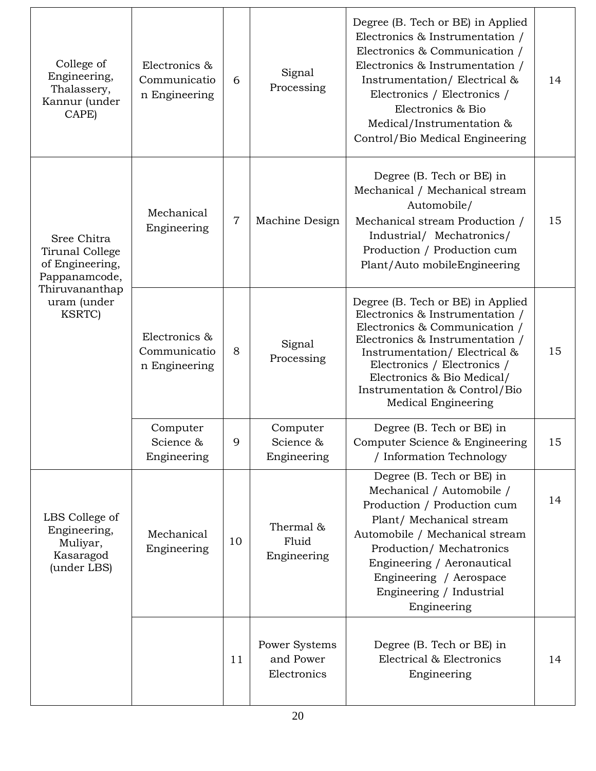| College of<br>Engineering,<br>Thalassery,<br>Kannur (under<br>CAPE)                                                   | Electronics &<br>Communicatio<br>n Engineering | 6              | Signal<br>Processing                      | Degree (B. Tech or BE) in Applied<br>Electronics & Instrumentation /<br>Electronics & Communication /<br>Electronics & Instrumentation /<br>Instrumentation/Electrical &<br>Electronics / Electronics /<br>Electronics & Bio<br>Medical/Instrumentation &<br>Control/Bio Medical Engineering  | 14 |
|-----------------------------------------------------------------------------------------------------------------------|------------------------------------------------|----------------|-------------------------------------------|-----------------------------------------------------------------------------------------------------------------------------------------------------------------------------------------------------------------------------------------------------------------------------------------------|----|
| Sree Chitra<br>Tirunal College<br>of Engineering,<br>Pappanamcode,<br>Thiruvananthap<br>uram (under<br><b>KSRTC</b> ) | Mechanical<br>Engineering                      | $\overline{7}$ | Machine Design                            | Degree (B. Tech or BE) in<br>Mechanical / Mechanical stream<br>Automobile/<br>Mechanical stream Production /<br>Industrial/ Mechatronics/<br>Production / Production cum<br>Plant/Auto mobileEngineering                                                                                      | 15 |
|                                                                                                                       | Electronics &<br>Communicatio<br>n Engineering | 8              | Signal<br>Processing                      | Degree (B. Tech or BE) in Applied<br>Electronics & Instrumentation /<br>Electronics & Communication /<br>Electronics & Instrumentation /<br>Instrumentation/Electrical &<br>Electronics / Electronics /<br>Electronics & Bio Medical/<br>Instrumentation & Control/Bio<br>Medical Engineering | 15 |
|                                                                                                                       | Computer<br>Science &<br>Engineering           | 9              | Computer<br>Science &<br>Engineering      | Degree (B. Tech or BE) in<br>Computer Science & Engineering<br>/ Information Technology                                                                                                                                                                                                       | 15 |
| LBS College of<br>Engineering,<br>Muliyar,<br>Kasaragod<br>(under LBS)                                                | Mechanical<br>Engineering                      | 10             | Thermal &<br>Fluid<br>Engineering         | Degree (B. Tech or BE) in<br>Mechanical / Automobile /<br>Production / Production cum<br>Plant/ Mechanical stream<br>Automobile / Mechanical stream<br>Production/Mechatronics<br>Engineering / Aeronautical<br>Engineering / Aerospace<br>Engineering / Industrial<br>Engineering            | 14 |
|                                                                                                                       |                                                | 11             | Power Systems<br>and Power<br>Electronics | Degree (B. Tech or BE) in<br>Electrical & Electronics<br>Engineering                                                                                                                                                                                                                          | 14 |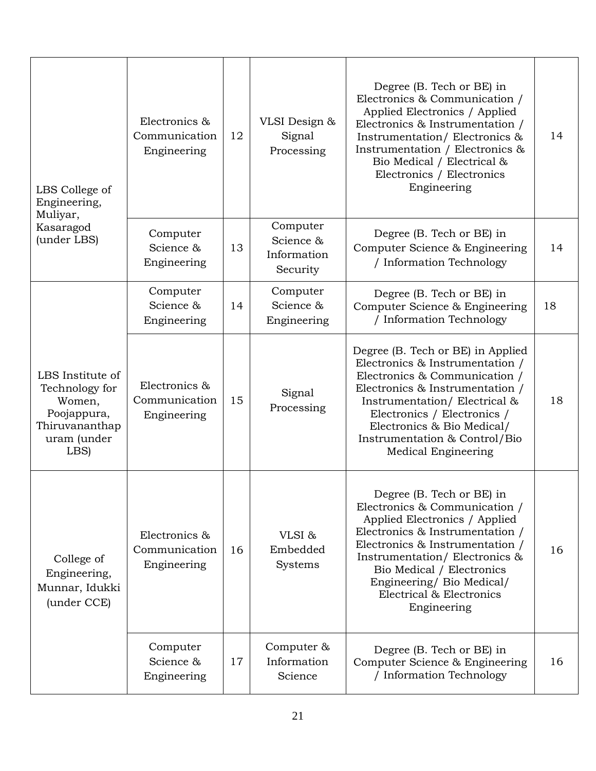| LBS College of<br>Engineering,<br>Muliyar,                                                           | Electronics &<br>Communication<br>Engineering | 12 | VLSI Design &<br>Signal<br>Processing            | Degree (B. Tech or BE) in<br>Electronics & Communication /<br>Applied Electronics / Applied<br>Electronics & Instrumentation /<br>Instrumentation/Electronics &<br>Instrumentation / Electronics &<br>Bio Medical / Electrical &<br>Electronics / Electronics<br>Engineering                            | 14 |
|------------------------------------------------------------------------------------------------------|-----------------------------------------------|----|--------------------------------------------------|---------------------------------------------------------------------------------------------------------------------------------------------------------------------------------------------------------------------------------------------------------------------------------------------------------|----|
| Kasaragod<br>(under LBS)                                                                             | Computer<br>Science &<br>Engineering          | 13 | Computer<br>Science &<br>Information<br>Security | Degree (B. Tech or BE) in<br>Computer Science & Engineering<br>/ Information Technology                                                                                                                                                                                                                 | 14 |
|                                                                                                      | Computer<br>Science &<br>Engineering          | 14 | Computer<br>Science &<br>Engineering             | Degree (B. Tech or BE) in<br>Computer Science & Engineering<br>/ Information Technology                                                                                                                                                                                                                 | 18 |
| LBS Institute of<br>Technology for<br>Women,<br>Poojappura,<br>Thiruvananthap<br>uram (under<br>LBS) | Electronics &<br>Communication<br>Engineering | 15 | Signal<br>Processing                             | Degree (B. Tech or BE) in Applied<br>Electronics & Instrumentation /<br>Electronics & Communication /<br>Electronics & Instrumentation /<br>Instrumentation/Electrical &<br>Electronics / Electronics /<br>Electronics & Bio Medical/<br>Instrumentation & Control/Bio<br>Medical Engineering           | 18 |
| College of<br>Engineering,<br>Munnar, Idukki<br>(under CCE)                                          | Electronics &<br>Communication<br>Engineering | 16 | VLSI&<br>Embedded<br>Systems                     | Degree (B. Tech or BE) in<br>Electronics & Communication /<br>Applied Electronics / Applied<br>Electronics & Instrumentation /<br>Electronics & Instrumentation /<br>Instrumentation/Electronics &<br>Bio Medical / Electronics<br>Engineering/ Bio Medical/<br>Electrical & Electronics<br>Engineering | 16 |
|                                                                                                      | Computer<br>Science &<br>Engineering          | 17 | Computer &<br>Information<br>Science             | Degree (B. Tech or BE) in<br>Computer Science & Engineering<br>/ Information Technology                                                                                                                                                                                                                 | 16 |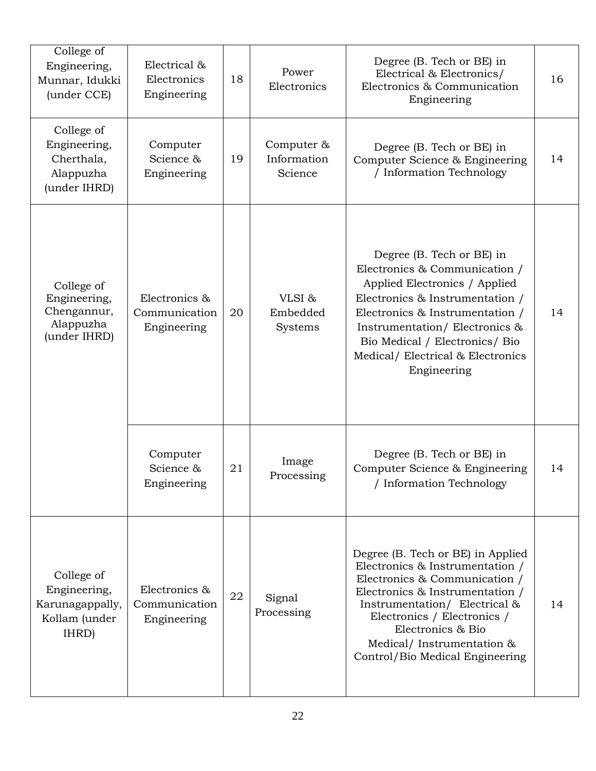| College of<br>Engineering,<br>Munnar, Idukki<br>(under CCE)             | Electrical &<br>Electronics<br>Engineering    | 18 | Power<br>Electronics                 | Degree (B. Tech or BE) in<br>Electrical & Electronics/<br>Electronics & Communication<br>Engineering                                                                                                                                                                                           | 16 |
|-------------------------------------------------------------------------|-----------------------------------------------|----|--------------------------------------|------------------------------------------------------------------------------------------------------------------------------------------------------------------------------------------------------------------------------------------------------------------------------------------------|----|
| College of<br>Engineering,<br>Cherthala,<br>Alappuzha<br>(under IHRD)   | Computer<br>Science &<br>Engineering          | 19 | Computer &<br>Information<br>Science | Degree (B. Tech or BE) in<br>Computer Science & Engineering<br>/ Information Technology                                                                                                                                                                                                        | 14 |
| College of<br>Engineering,<br>Chengannur,<br>Alappuzha<br>(under IHRD)  | Electronics &<br>Communication<br>Engineering | 20 | VLSI&<br>Embedded<br>Systems         | Degree (B. Tech or BE) in<br>Electronics & Communication /<br>Applied Electronics / Applied<br>Electronics & Instrumentation /<br>Electronics & Instrumentation /<br>Instrumentation/Electronics &<br>Bio Medical / Electronics/ Bio<br>Medical/ Electrical & Electronics<br>Engineering       | 14 |
|                                                                         | Computer<br>Science &<br>Engineering          | 21 | Image<br>Processing                  | Degree (B. Tech or BE) in<br>Computer Science & Engineering<br>/ Information Technology                                                                                                                                                                                                        | 14 |
| College of<br>Engineering,<br>Karunagappally,<br>Kollam (under<br>IHRD) | Electronics &<br>Communication<br>Engineering | 22 | Signal<br>Processing                 | Degree (B. Tech or BE) in Applied<br>Electronics & Instrumentation /<br>Electronics & Communication /<br>Electronics & Instrumentation /<br>Instrumentation/ Electrical &<br>Electronics / Electronics /<br>Electronics & Bio<br>Medical/ Instrumentation &<br>Control/Bio Medical Engineering | 14 |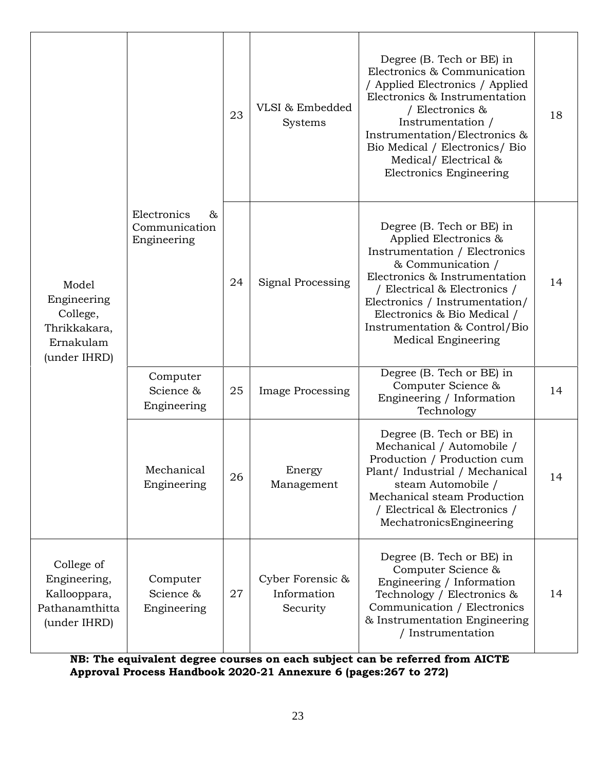| Model<br>Engineering<br>College,<br>Thrikkakara,<br>Ernakulam<br>(under IHRD) | Electronics<br>&<br>Communication<br>Engineering | 23 | VLSI & Embedded<br>Systems                  | Degree (B. Tech or BE) in<br>Electronics & Communication<br>/ Applied Electronics / Applied<br>Electronics & Instrumentation<br>/ Electronics &<br>Instrumentation /<br>Instrumentation/Electronics &<br>Bio Medical / Electronics/ Bio<br>Medical/Electrical &<br><b>Electronics Engineering</b>  | 18 |
|-------------------------------------------------------------------------------|--------------------------------------------------|----|---------------------------------------------|----------------------------------------------------------------------------------------------------------------------------------------------------------------------------------------------------------------------------------------------------------------------------------------------------|----|
|                                                                               |                                                  | 24 | Signal Processing                           | Degree (B. Tech or BE) in<br>Applied Electronics &<br>Instrumentation / Electronics<br>& Communication /<br>Electronics & Instrumentation<br>/ Electrical & Electronics /<br>Electronics / Instrumentation/<br>Electronics & Bio Medical /<br>Instrumentation & Control/Bio<br>Medical Engineering | 14 |
|                                                                               | Computer<br>Science &<br>Engineering             | 25 | <b>Image Processing</b>                     | Degree (B. Tech or BE) in<br>Computer Science &<br>Engineering / Information<br>Technology                                                                                                                                                                                                         | 14 |
|                                                                               | Mechanical<br>Engineering                        | 26 | Energy<br>Management                        | Degree (B. Tech or BE) in<br>Mechanical / Automobile /<br>Production / Production cum<br>Plant/ Industrial / Mechanical<br>steam Automobile /<br>Mechanical steam Production<br>/ Electrical & Electronics /<br>MechatronicsEngineering                                                            | 14 |
| College of<br>Engineering,<br>Kallooppara,<br>Pathanamthitta<br>(under IHRD)  | Computer<br>Science &<br>Engineering             | 27 | Cyber Forensic &<br>Information<br>Security | Degree (B. Tech or BE) in<br>Computer Science &<br>Engineering / Information<br>Technology / Electronics &<br>Communication / Electronics<br>& Instrumentation Engineering<br>/ Instrumentation                                                                                                    | 14 |

**NB: The equivalent degree courses on each subject can be referred from AICTE Approval Process Handbook 2020-21 Annexure 6 (pages:267 to 272)**